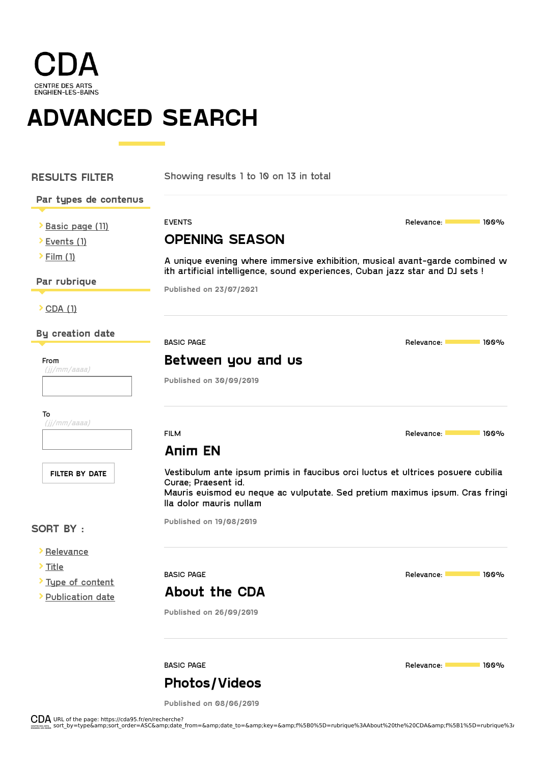

**ADVANCED SEARCH**

٦

| <b>RESULTS FILTER</b>                 | Showing results 1 to 10 on 13 in total                                                                                                                                                                             |                                       |
|---------------------------------------|--------------------------------------------------------------------------------------------------------------------------------------------------------------------------------------------------------------------|---------------------------------------|
| Par types de contenus                 |                                                                                                                                                                                                                    |                                       |
| Basic page (11)                       | <b>EVENTS</b>                                                                                                                                                                                                      | Relevance:<br>100%                    |
| > Events (1)                          | <b>OPENING SEASON</b>                                                                                                                                                                                              |                                       |
| $\sum$ Film (1)                       | A unique evening where immersive exhibition, musical avant-garde combined w<br>ith artificial intelligence, sound experiences, Cuban jazz star and DJ sets !                                                       |                                       |
| Par rubrique                          | Published on 23/07/2021                                                                                                                                                                                            |                                       |
| $\sum$ CDA (1)                        |                                                                                                                                                                                                                    |                                       |
| <b>By creation date</b>               | <b>BASIC PAGE</b>                                                                                                                                                                                                  | Relevance:<br><b>100%</b>             |
| From                                  | Between you and us                                                                                                                                                                                                 |                                       |
| $(jj/mm/a$ aaaa)                      | Published on 30/09/2019                                                                                                                                                                                            |                                       |
| То<br>$(ij/mm/a$ aaaa)                |                                                                                                                                                                                                                    |                                       |
|                                       | <b>FILM</b>                                                                                                                                                                                                        | Relevance: <b>Lang</b><br><b>100%</b> |
|                                       | Anim EN                                                                                                                                                                                                            |                                       |
| <b>FILTER BY DATE</b>                 | Vestibulum ante ipsum primis in faucibus orci luctus et ultrices posuere cubilia<br>Curae; Praesent id.<br>Mauris euismod eu neque ac vulputate. Sed pretium maximus ipsum. Cras fringi<br>lla dolor mauris nullam |                                       |
| <b>SORT BY:</b>                       | <b>Published on 19/08/2019</b>                                                                                                                                                                                     |                                       |
| <b>&gt; Relevance</b>                 |                                                                                                                                                                                                                    |                                       |
| > Title                               | <b>BASIC PAGE</b>                                                                                                                                                                                                  | Relevance:<br><b>100%</b>             |
| Type of content<br>> Publication date | About the CDA                                                                                                                                                                                                      |                                       |
|                                       | <b>Published on 26/09/2019</b>                                                                                                                                                                                     |                                       |
|                                       | <b>BASIC PAGE</b>                                                                                                                                                                                                  | 100%<br>Relevance:                    |

**[Photos/Videos](https://cda95.fr/en/mediatheque)**

**Published on 08/06/2019**

URL of the page: https://cda95.fr/en/recherche?<br>sort by=type&amp;sort order=ASC&amp;date from=&amp;date to=&amp;key=&amp;f%5B0%5D=rubrique%3AAbout%20the%20CDA&amp;f%5B1%5D=rubrique%3/